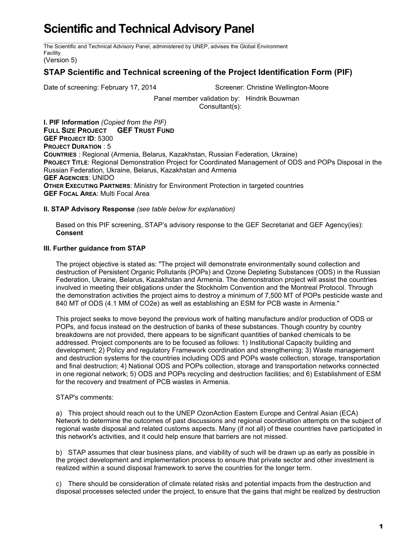# **Scientific and Technical Advisory Panel**

The Scientific and Technical Advisory Panel, administered by UNEP, advises the Global Environment Facility

(Version 5)

## **STAP Scientific and Technical screening of the Project Identification Form (PIF)**

Date of screening: February 17, 2014 Screener: Christine Wellington-Moore

Panel member validation by: Hindrik Bouwman Consultant(s):

**I. PIF Information** *(Copied from the PIF)* **FULL SIZE PROJECT GEF TRUST FUND GEF PROJECT ID**: 5300 **PROJECT DURATION** : 5 **COUNTRIES** : Regional (Armenia, Belarus, Kazakhstan, Russian Federation, Ukraine) **PROJECT TITLE**: Regional Demonstration Project for Coordinated Management of ODS and POPs Disposal in the Russian Federation, Ukraine, Belarus, Kazakhstan and Armenia **GEF AGENCIES**: UNIDO **OTHER EXECUTING PARTNERS**: Ministry for Environment Protection in targeted countries **GEF FOCAL AREA**: Multi Focal Area

### **II. STAP Advisory Response** *(see table below for explanation)*

Based on this PIF screening, STAP's advisory response to the GEF Secretariat and GEF Agency(ies): **Consent**

### **III. Further guidance from STAP**

The project objective is stated as: "The project will demonstrate environmentally sound collection and destruction of Persistent Organic Pollutants (POPs) and Ozone Depleting Substances (ODS) in the Russian Federation, Ukraine, Belarus, Kazakhstan and Armenia. The demonstration project will assist the countries involved in meeting their obligations under the Stockholm Convention and the Montreal Protocol. Through the demonstration activities the project aims to destroy a minimum of 7,500 MT of POPs pesticide waste and 840 MT of ODS (4.1 MM of CO2e) as well as establishing an ESM for PCB waste in Armenia."

This project seeks to move beyond the previous work of halting manufacture and/or production of ODS or POPs, and focus instead on the destruction of banks of these substances. Though country by country breakdowns are not provided, there appears to be significant quantities of banked chemicals to be addressed. Project components are to be focused as follows: 1) Institutional Capacity building and development; 2) Policy and regulatory Framework coordination and strengthening; 3) Waste management and destruction systems for the countries including ODS and POPs waste collection, storage, transportation and final destruction; 4) National ODS and POPs collection, storage and transportation networks connected in one regional network; 5) ODS and POPs recycling and destruction facilities; and 6) Establishment of ESM for the recovery and treatment of PCB wastes in Armenia.

### STAP's comments:

a) This project should reach out to the UNEP OzonAction Eastern Europe and Central Asian (ECA) Network to determine the outcomes of past discussions and regional coordination attempts on the subject of regional waste disposal and related customs aspects. Many (if not all) of these countries have participated in this network's activities, and it could help ensure that barriers are not missed.

b) STAP assumes that clear business plans, and viability of such will be drawn up as early as possible in the project development and implementation process to ensure that private sector and other investment is realized within a sound disposal framework to serve the countries for the longer term.

c) There should be consideration of climate related risks and potential impacts from the destruction and disposal processes selected under the project, to ensure that the gains that might be realized by destruction